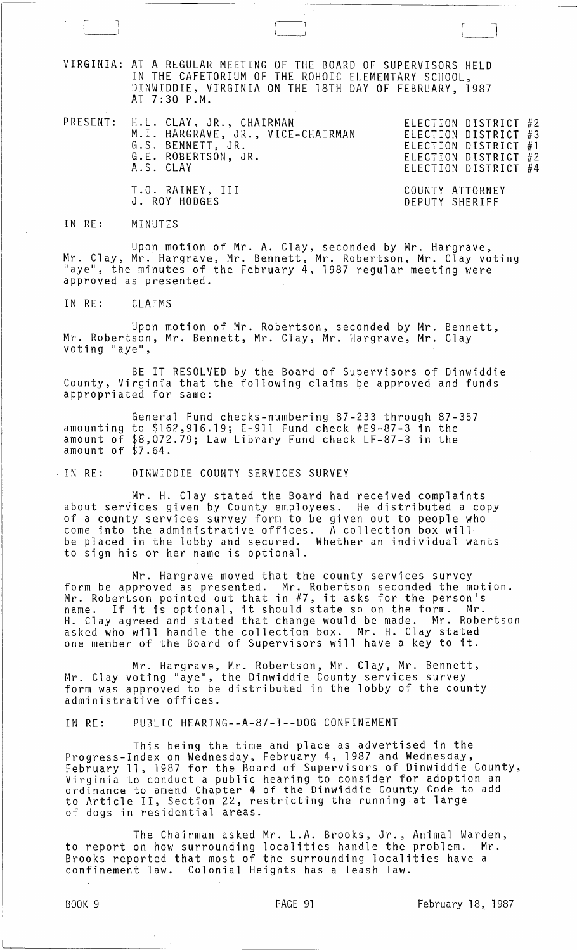VIRGINIA: AT A REGULAR MEETING OF THE BOARD OF SUPERVISORS HELD IN THE CAFETORIUM OF THE ROHOIC ELEMENTARY SCHOOL, DINWIDDIE, VIRGINIA ON THE 18TH DAY OF FEBRUARY, 1987 AT 7:30 P.M.

PRESENT: H.L. CLAY, JR., CHAIRMAN M.1. HARGRAVE, JR., VICE-CHAIRMAN G.S. BENNETT, JR. G.E. ROBERTSON, JR. A.S. CLAY T.O. RAINEY, III J. ROY HODGES

ELECTION DISTRICT #2 ELECTION DISTRICT #3<br>ELECTION DISTRICT #1 ELECTION DISTRICT ELECTION DISTRICT #2 ELECTION DISTRICT #4

 $\bigcup$ 

COUNTY ATTORNEY DEPUTY SHERIFF

#### IN RE: MINUTES

Upon motion of Mr. A. Clay, seconded by Mr. Hargrave, Mr. Clay, Mr. Hargrave, Mr. Bennett, Mr. Robertson, Mr. Clay voting "aye", the minutes of the February 4, 1987 regular meeting were approved as presented.

IN RE: CLAIMS

Upon motion of Mr. Robertson, seconded by Mr. Bennett, Mr. Robertson, Mr. Bennett, Mr. Clay, Mr. Hargrave, Mr. Clay<br>voting "aye",

BE IT RESOLVED by the Board of Supervisors of Dinwiddie County, Virginia that the following claims be approved and funds appropriated for same:

General Fund checks-numbering 87-233 through 87-357 amounting to  $$162,916.19$ ; E-911 Fund check #E9-87-3 in the amount of  $$8,072.79$ ; Law Library Fund check LF-87-3 in the \$8,072.79; Law Library Fund check LF-87-3 in the amount of \$7.64.

. IN RE: DINWIDDIE COUNTY SERVICES SURVEY

Mr. H. Clay stated the Board had received complaints about services given by County employees. He distributed a copy of a county services survey form to be given out to people who come into the administrative offices. A collection box will be placed in the lobby and secured. Whether an individual wants to sign his or her name is optional.

Mr. Hargrave moved that the county services survey form be approved as presented. Mr. Robertson seconded the motion. Mr. Robertson pointed out that in #7, it asks for the person's nr. Robertson pointed out that in  $\pi$ , it asks for the person's<br>name. If it is optional, it should state so on the form. Mr. H. Clay agreed and stated that change would be made. Mr. Robertson asked who will handle the collection box. Mr. H. Clay stated one member of the Board of Supervisors will have a key to it.

Mr. Hargrave, Mr. Robertson, Mr. Clay, Mr. Bennett, Mr. Clay voting "aye", the Dinwiddie County services survey form was approved to be distributed in the lobby of the county administrative offices.

### IN RE: PUBLIC HEARING--A-87-1--DOG CONFINEMENT

This being the time and place as advertised in the Progress-Index on Wednesday, February 4, 1987 and Wednesday, February **11,** 1987 for the Board of Supervisors of Dinwiddie County, Virginia to conduct a public hearing to consider for adoption an ordinance to amend Chapter 4 of the Dinwiddie County Code to add ordinance to amend onapter it of the binninging boardy come of of dogs in residential hreas.

The Chairman asked Mr. L.A. Brooks, Jr., Animal Warden, to report on how surrounding localities handle the problem. Mr. Brooks reported that most of the surrounding localities have a confinement law. Colonial Heights has a leash law.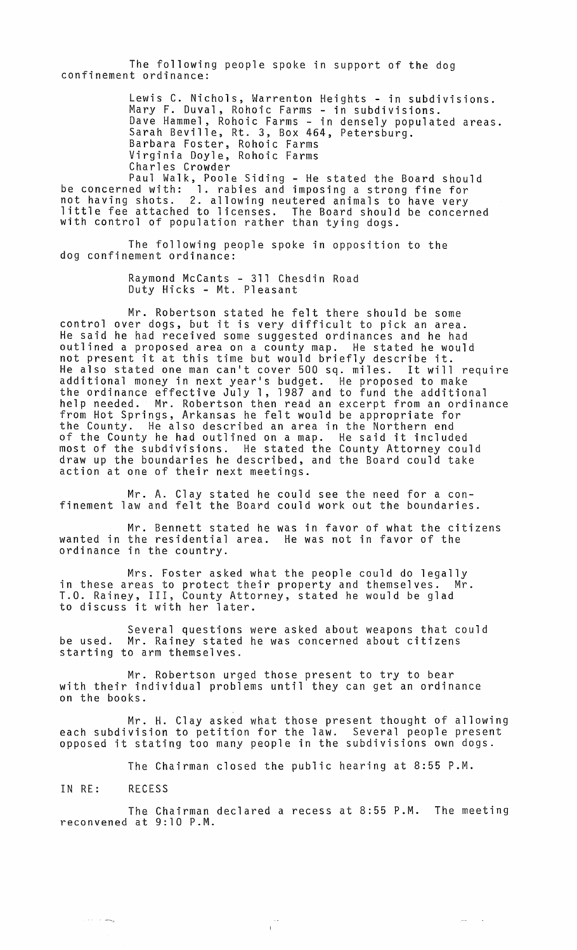The following people spoke in support of the dog confinement ordinance:

Lewis C. Nichols, Warrenton Heights - in subdivisions. Mary F. Duval, Rohoic Farms - in subdivisions. Dave Hammel, Rohoic Farms - in densely populated areas. Sarah Beville, Rt. 3, Box 464, Petersburg. Barbara Foster, Rohoic Farms Virginia Doyle, Rohoic Farms Charles Crowder

Paul Walk, Poole Siding - He stated the Board should be concerned with: 1. rabies and imposing a strong fine for not having shots. 2. allowing neutered animals to have very<br>little fee attached to licenses. The Board should be concerned with control of population rather than tying dogs.

The following people spoke in opposition to the dog confinement ordinance:

> Raymond McCants - 311 Chesdin Road Duty Hicks - Mt. Pleasant

Mr. Robertson stated he felt there should be some control over dogs, but it is very difficult to pick an area. He said he had received some suggested ordinances and he had outlined a proposed area on a county map. He stated he would outfined a proposed area on a county map. The stated he would be also the work He also stated one man can1t cover 500 sq. miles. It will require additional money in next year's budget. <sup>'</sup>He proposed to make the ordinance effective July 1, 1987 and to fund the additional help needed. Mr. Robertson then read an excerpt from an ordinance from Hot Springs, Arkansas he felt would be appropriate for the County. He also described an area in the Northern end of the County he had outlined on a map. He said it included most of the subdivisions. He stated the County Attorney could draw up the boundaries he described, and the Board could take action at one of their next meetings.

Mr. A. Clay stated he could see the need for a confinement law and felt the Board could work out the boundaries.

Mr. Bennett stated he was in favor of what the citizens wanted in the residential area. He was not in favor of the ordinance in the country.

Mrs. Foster asked what the people could do legally in these areas to protect their property and themselves. Mr. T.O. Rainey, III, County Attorney, stated he would be glad to discuss it with her later.

Several questions were asked about weapons that could be used. Mr. Rainey stated he was concerned about citizens starting to arm themselves.

Mr. Robertson urged those present to try to bear with their individual problems until they can get an ordinance on the books.

Mr. H. Clay asked what those present thought of allowing each subdivision to petition for the law. Several people present opposed it stating too many people in the subdivisions own dogs.

The Chairman closed the public hearing at 8:55 P.M.

الفارد السفرة

IN RE: RECESS

أيتماء أأددد

The Chairman declared a recess at 8:55 P.M. The meeting reconvened at 9:10 P.M.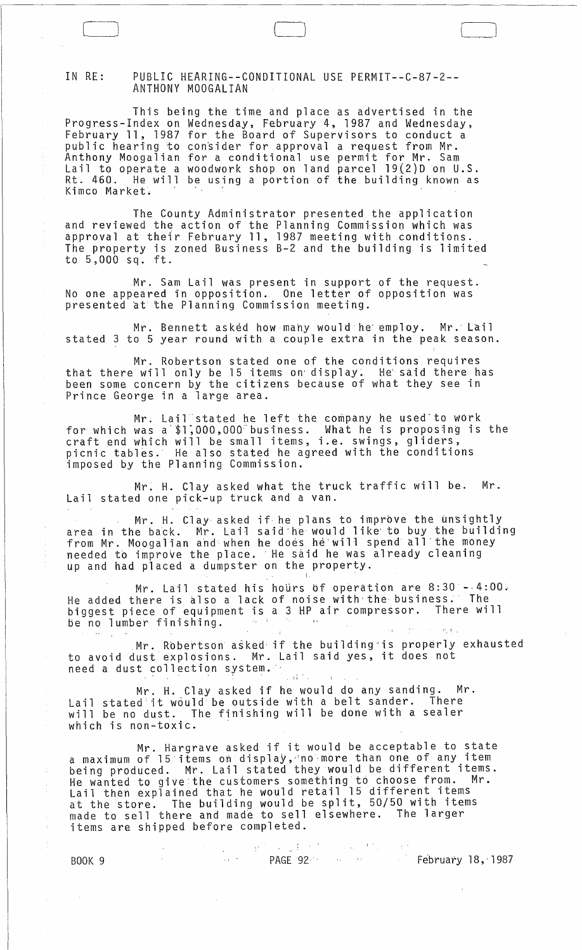## IN RE: PUBLIC HEARING--CONOITIONAL USE PERMIT--C-87-2-- ANTHONY MOOGALIAN

 $\lfloor$ 

This being the time and place as advertised in the Progress-Index on Wednesday, February 4, 1987 and Wednesday, February 11, 1987 for the Board of Supervisors to conduct a public hearing to consider for approval a request from Mr. Anthony Moogalian for a conditional use permit for Mr. Sam Lail to operate a woodwork shop on land parcel 19(2)0 on U.S. Rt. 460. He will be using a portion of the building known as Anthony Moogarian for a conditional use permit for Mr.<br>Lail to operate a woodwork shop on land parcel 19(2)D<br>Rt. 460. He will be using a portion of the building<br>Kimco Market.

The County Administrator presented the application and reviewed the action of the Planning Commission which was approval at their February 11, 1987 meeting with conditions.\_ The property is zoned Business B-2 and the building is limited to 5,000 sq. ft.

Mr. Sam Lail was present in support of the request. No one appeared in opposition. One letter of opposition was presented at the Planning Commission meeting.

Mr. Bennett asked how many would he employ. Mr. Lail stated 3 to 5 year round with a couple extra in the peak season.

Mr. Robertson stated one of the conditions requires that there will only be 15 items on display. He said there has been some concern by the citizens because of what they see in Prince George in a large area.

Mr. Lail $^{\circ}$ stated he left the company he used to work for which was a \$1,000,000 business. What he is proposing is the craft end which will be small items, i.e. swings, gliders, picnic tables. He also stated he agreed with the conditions imposed by the Planning Commission.

Mr. H. Clay asked what the truck traffic will be. Mr. Lail stated one pick-up truck and a van.

Mr. H. Clay asked if he plans to improve the unsightly area in the back. Mr. Lail said he would like to buy the building from Mr. Moogalian and when he does he will spend all the money needed to improve the place. He said he was already cleaning up and had placed a dumpster on the property. I '

Mr. Lail stated his hours of operation are  $8:30$  -  $4:00$ . He added there is also a lack of noise with the business. The biggest piece of equipment is a 3 HP air compressor. There will<br>be no lumber finishing be no lumber finishing.

. Mr. Robertson asked if the building is properly exhausted to avoid dust explosions. Mr. Lail said yes, it does not need a dust collection asked if the avoid dust explosions. Mr. Laimed a dust collection system.

Mr. H. Clay asked if he would do any sanding. Mr. Lail stated'it would be outside with a belt sander. There will be no dust. The finishing will be done with a sealer which is non-toxic.

Mr. Hargrave asked if it would be acceptable to state a maximum of 15 items on display,'!no-more than one of any item being produced. Mr. Lail stated they would be different items. He wanted to give:the customers something to choose from. Mr. Lail then explained that he would retail 15 different items at the store. The building would be split, 50/50 with items made to sell there and made to sell elsewhere. The larger items are shipped before completed.

|        |  | $\sim$  |  |  |                   |  |
|--------|--|---------|--|--|-------------------|--|
| BOOK 9 |  | PAGE 92 |  |  | February 18, 1987 |  |

LJ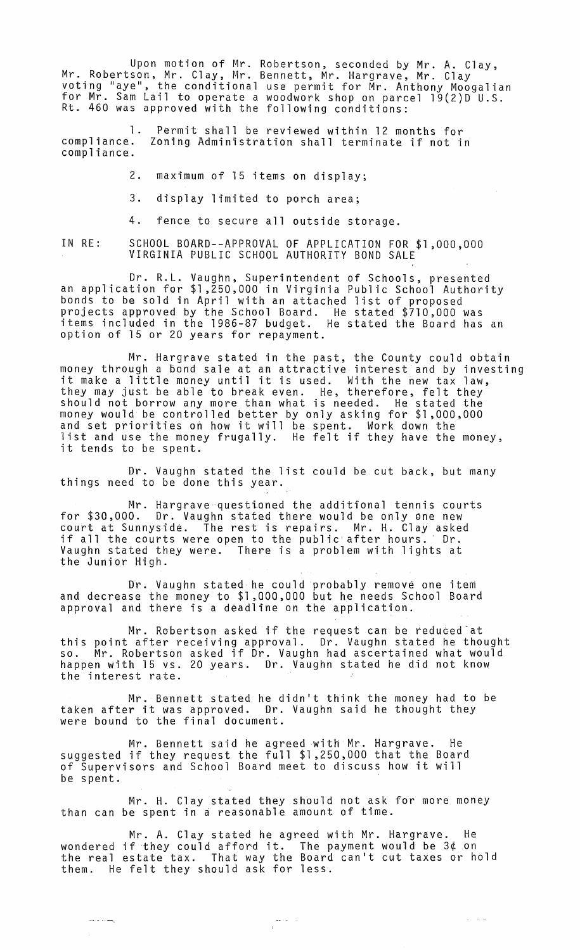Upon motion of Mr. Robertson, seconded by Mr. A. Clay,<br>Mr. Robertson, Mr. Clay, Mr. Bennett, Mr. Hargrave, Mr. Clay<br>voting "aye", the conditional use permit for Mr. Anthony Moogali voting "aye", the conditional use permit for Mr. Anthony Moogalian<br>for Mr. Sam Lail to operate a woodwork shop on parcel 19(2)D U.S. Rt. 460 was approved with the following conditions:

1 . compliance. Zoning Administration shall terminate if not in compliance. Permit shall be reviewed within 12 months for

> 2. maximum of 15 items on display;

3 . display limited to porch area;

4. fence to secure all outside storage.

IN RE: SCHOOL BOARD--APPROVAL OF APPLICATION FOR \$1,000,000 VIRGINIA PUBLIC SCHOOL AUTHORITY BOND SALE

Dr. R.L. Vaughn, Superintendent of Schools, presented an application for \$1,250,000 in Virginia Public School Authority bonds to be sold in April with an attached list of proposed projects approved by the School Board. He stated \$710,000 was items included in the 1986-87 budget. He stated the Board has an option of 15 or 20 years for repayment.

Mr. Hargrave stated in the past, the County could obtain money through a Bond sale at an attractive interest and by investing it make a little money until it is used. With the new tax law, they may just be able to break even. He, therefore, felt they should not borrow any more than what is needed. He stated the money would be controlled better by only asking for \$1,000,000 and set priorities on how it will be spent. Work down the and set priorities on now it will be spent. Work down the<br>list and use the money frugally. He felt if they have the money, it tends to be spent.

Dr. Vaughn stated the list could be cut back, but many things need to be done this year.

 $Mr.$  Hargrave questioned the additional tennis courts for \$30,000. Dr. Vaughn stated there would be only one new court at Sunnyside. The rest is repairs. Mr. H. Clay asked court at summyside. The rest is repairs. Mr. M. Clay aske<br>if all the courts were open to the public after hours. Dr. Vaughn stated they were. There is a problem with lights at the Junior High.

Dr. Vaughn stated he could probably remove one item and decrease the money to \$1,000,000 but he needs School Board approval and there is a deadline on the application.

Mr. Robertson asked if the request can be reduced at this point after receiving approval. Dr. Vaughn stated he thought so. Mr. Robertson asked if Dr. Vaughn had ascertained what would happen with 15 vs. 20 years. Dr. Vaughn stated he did not know the interest rate.

Mr. Bennett stated he didn't think the money had to be taken after it was approved. Dr. Vaughn said he thought they were bound to the final document.

Mr. Bennett said he agreed with Mr. Hargrave. He suggested if they request the full \$1,250,000 that the Board of Supervisors and School Board meet to discuss how it will be spent.

Mr. H. Clay stated they should not ask for more money than can be spent in a reasonable amount of time.

Mr. A. Clay stated he agreed with Mr. Hargrave. He wondered if they could afford it. The payment would be 3¢ on the real estate tax. That way the Board can't cut taxes or hold them. He felt they should ask for less.

 $\frac{1}{4} \frac{1}{\sqrt{2}} \left( \frac{1}{2} \left( \frac{1}{2} \right) \right)^2 \left( \frac{1}{2} \right)^2$ 

 $\rightarrow$   $\rightarrow$   $\rightarrow$   $\rightarrow$ 

 $\Delta \sim 100$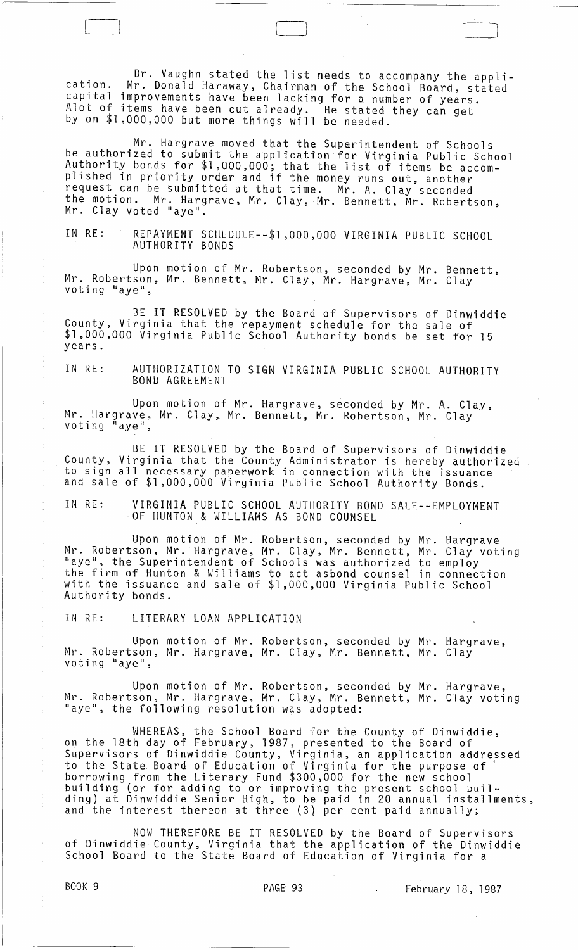Dr. Vaughn stated the list needs to accompany the application. Mr. Donald Haraway, Chairman of the School Board, stated capital improvements have been lacking for a number of years. Alot of items have been cut already. He stated they can get<br>by on \$1,000,000 but more things will be needed.

o J

Mr. Hargrave moved that the Superintendent of Schools be authorized to submit the application for Virginia Public School Authority bonds for \$1,000,000; that the list of items be accomplished in priority order and if the money runs out, another request can be submitted at that time. Mr. A. Clay seconded the motion. Mr. Hargrave, Mr. Clay, Mr. Bennett, Mr. Robertson,<br>Mr. Clay voted "aye".

IN RE: REPAYMENT SCHEDULE--\$l,OOO,OOO VIRGINIA PUBLIC SCHOOL AUTHORITY BONDS

Upon motion of Mr. Robertson, seconded by Mr. Bennett, Mr. Robertson, Mr. Bennett, Mr. Clay, Mr. Hargrave, Mr. Clay<br>voting "ave",

BE IT RESOLVED by the Board of Supervisors of Dinwiddie County, Virginia that the repayment schedule for the sale of \$1,000,000 Virginia Public School Authority bonds be set for 15 years.

IN RE: AUTHORIZATION TO SIGN VIRGINIA PUBLIC SCHOOL AUTHORITY BOND AGREEMENT

Upon motion of Mr. Hargrave, seconded by Mr. A. Clay, Mr. Hargrave, Mr. Clay, Mr. Bennett, Mr. Robertson, Mr. Clay<br>voting "aye",

BE IT RESOLVED by the Board of Supervisors of Dinwiddie County, Virginia that the County Administrator is hereby authorized to sign all necessary paperwork in connection with the issuance and sale of \$1,000,000 Virginia Public School Authority Bonds.

IN RE: VIRGINIA PUBLIC SCHOOL AUTHORITY BOND SALE--EMPLOYMENT OF HUNTON & WILLIAMS AS BOND COUNSEL

Upon motion of Mr. Robertson, seconded by Mr. Hargrave Mr. Robertson, Mr. Hargrave, Mr. Clay, Mr. Bennett, Mr. Clay voting "aye", the Superintendent of Schools was authorized to employ the firm of Hunton & Williams to act asbond counsel in connection with the issuance and sale of \$1,000,000 Virginia Public School Authority bonds.

IN RE: LITERARY LOAN APPLICATION

Upon motion of Mr. Robertson, seconded by Mr. Hargrave, Mr. Robertson, Mr. Hargrave, Mr. Clay, Mr. Bennett, Mr. Clay<br>voting "aye",

Upon motion of Mr. Robertson, seconded by Mr. Hargrave, Mr. Robertson, Mr. Hargrave, Mr. Clay, Mr. Bennett, Mr. Clay voting<br>"aye", the following resolution was adopted: "aye", the following resolution was adopted:

WHEREAS, the School Board for the County of Dinwiddie, on the 18th day of February, 1987, presented to the Board of Supervisors of Dinwiddie County, Virginia, an application addressed to the State. Board of Education of Virginia for the purpose of ' borrowing from the Literary Fund \$300,000 for the new school building (or for adding to or improving the present school building) at Dinwiddie Senior High, to be paid in 20 annual installments, and the interest thereon at three (3) per cent paid annually;

NOW THEREFORE BE IT RESOLVED by the Board of Supervisors of Dinwiddie County, Virginia that the application of the Dinwiddie School Board to the State Board of Education of Virginia for a

BOOK 9 **PAGE 93** PAGE 93 **February 18, 1987**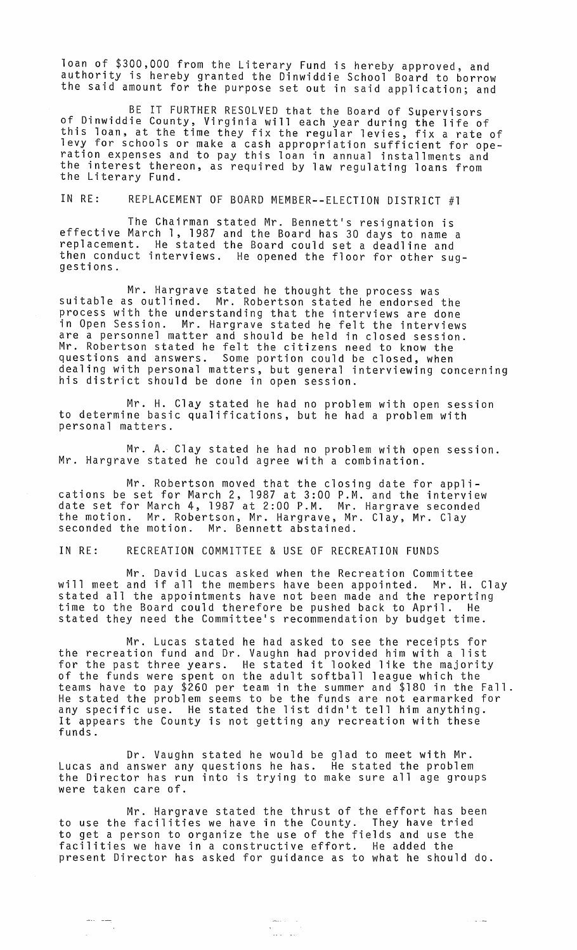loan of \$300,000 from the Literary Fund is hereby approved, and authority is hereby granted the Dinwiddie School Board to borrow the said amount for the purpose set out in said application; and

BE IT FURTHER RESOLVED that the Board of Supervisors of Dinwiddie County, Virginia will each year during the life of this loan, at the time they fix the regular levies, fix a rate of levy for schools or make a cash appropriation sufficient for operation expenses and to pay this loan in annual installments and the interest thereon, as required by law regulating loans from the Literary Fund.

IN RE: REPLACEMENT OF BOARD MEMBER--ELECTION DISTRICT #1

The Chairman stated Mr. Bennett's resignation is effective March 1, 1987 and the Board has 30 days to name a replacement. He stated the Board could set a deadline and then conduct interviews. He opened the floor for other sug- gestions.

Mr. Hargrave stated he thought the process was suitable as outlined. Mr. Robertson stated he endorsed the process with the understanding that the interviews are done in Open Session. Mr. Hargrave stated he felt the interviews are a personnel matter and should be held in closed session. Mr. Robertson stated he felt the citizens need to know the questions and answers. Some portion could be closed, when dealing with personal matters, but general interviewing concerning<br>his district should be done in open session.

Mr. H. Clay stated he had no problem with open session to determine basic qualifications, but he had a problem with personal matters.

Mr. A. Clay stated he had no problem with open session. Mr. Hargrave stated he could agree with a combination.

Mr. Robertson moved that the closing date for applications be set fgr March 2, 1987 at 3:00 P.M. and the interview date set for March 4, 1987 at 2:00 P.M. Mr. Hargrave seconded the motion. Mr. Robertson, Mr. Hargrave, Mr. Clay, Mr. Clay<br>seconded the motion. Mr. Bennett abstained.

IN RE: RECREATION COMMITTEE & USE OF RECREATION FUNDS

Mr. David Lucas asked when the Recreation Committee will meet and if all the members have been appointed. Mr. H. Clay stated all the appointments have not been made and the reporting<br>time to the Board could therefore be pushed back to April. He time to the Board could therefore be pushed back to April. stated they need the Committee's recommendation by budget time.

Mr. Lucas stated he had asked to see the receipts for the recreation fund and Dr. Vaughn had provided him with a list for the past three years. He stated it looked like the majority of the funds were spent on the adult softball league which the teams have to pay \$260 per team in the summer and \$180 in the Fall. He stated the problem seems to be the funds are not earmarked for any specific use. He stated the list didn't tell him anything. It appears the County is not getting any recreation with these funds.

Dr. Vaughn stated he would be glad to meet with Mr. Lucas and answer any questions he has. He stated the problem the Director has run into is trying to make sure all age groups were taken care of.

Mr. Hargrave stated the thrust of the effort has been to use the facilities we have in the County. They have tried to get a person to organize the use of the fields and use the facilities we have in a constructive effort. He added the present Director has asked for guidance as to what he should do.

المتابعات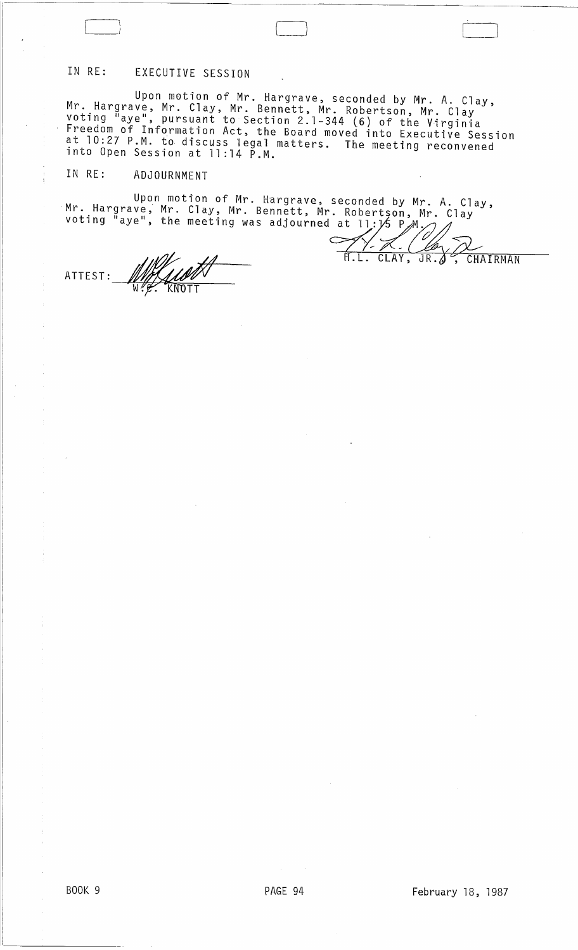# IN RE: EXECUTIVE SESSION

Upon motion of Mr. Hargrave, seconded by Mr. A. Clay,<br>Mr. Hargrave, Mr. Clay, Mr. Bennett, Mr. Robertson, Mr. Clay voting "aye", pursuant to Section 2.1-344 (6) of the Virginia Freedom of Information Act, the Board moved into Executive Session at 10:27 P.M. *io* discuss legal matters. The meeting reconvened into Open Session at 11 :14 P.M.

## IN RE: ADJOURNMENT

"1  $\begin{pmatrix} 1 & 1 \\ 1 & 1 \end{pmatrix}$ 

Upon motion of Mr. Hargrave, seconded by Mr. A. Clay,<br>Mr. Hargrave, Mr. Clay, Mr. Bennett, Mr. Robertson, Mr. Clay Mr. Hargrave, Mr. Clay, Mr. Bennett, Mr. Robertson, Mr. Clay,<br>voting "aye", the meeting was adjourned at 11:75 P M, 7 /  $\frac{1}{1000}$ . CLAY, JR. J., CHAIRMAN

ATTEST: W*.C.* KNOTT